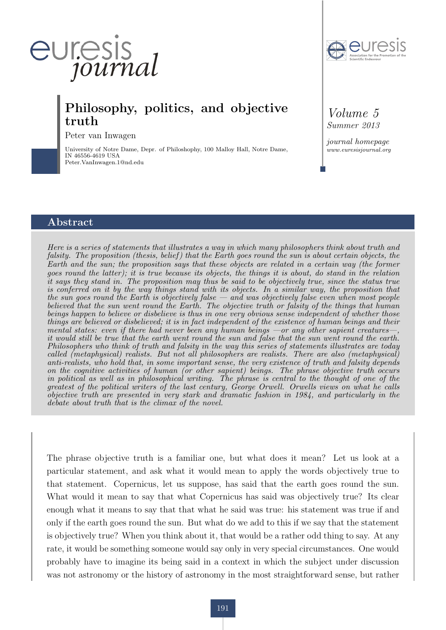

Peter van Inwagen

University of Notre Dame, Depr. of Philoshophy, 100 Malloy Hall, Notre Dame, IN 46556-4619 USA Peter.VanInwagen.1@nd.edu



*Volume 5 Summer 2013*

*journal homepage www.euresisjournal.org*

#### Abstract

*Here is a series of statements that illustrates a way in which many philosophers think about truth and falsity. The proposition (thesis, belief ) that the Earth goes round the sun is about certain objects, the Earth and the sun; the proposition says that these objects are related in a certain way (the former goes round the latter); it is true because its objects, the things it is about, do stand in the relation it says they stand in. The proposition may thus be said to be objectively true, since the status true is conferred on it by the way things stand with its objects. In a similar way, the proposition that the sun goes round the Earth is objectively false — and was objectively false even when most people believed that the sun went round the Earth. The objective truth or falsity of the things that human beings happen to believe or disbelieve is thus in one very obvious sense independent of whether those things are believed or disbelieved; it is in fact independent of the existence of human beings and their mental states: even if there had never been any human beings —or any other sapient creatures—, it would still be true that the earth went round the sun and false that the sun went round the earth. Philosophers who think of truth and falsity in the way this series of statements illustrates are today called (metaphysical) realists. But not all philosophers are realists. There are also (metaphysical) anti-realists, who hold that, in some important sense, the very existence of truth and falsity depends on the cognitive activities of human (or other sapient) beings. The phrase objective truth occurs in political as well as in philosophical writing. The phrase is central to the thought of one of the greatest of the political writers of the last century, George Orwell. Orwells views on what he calls objective truth are presented in very stark and dramatic fashion in 1984, and particularly in the debate about truth that is the climax of the novel.*

The phrase objective truth is a familiar one, but what does it mean? Let us look at a particular statement, and ask what it would mean to apply the words objectively true to that statement. Copernicus, let us suppose, has said that the earth goes round the sun. What would it mean to say that what Copernicus has said was objectively true? Its clear enough what it means to say that that what he said was true: his statement was true if and only if the earth goes round the sun. But what do we add to this if we say that the statement is objectively true? When you think about it, that would be a rather odd thing to say. At any rate, it would be something someone would say only in very special circumstances. One would probably have to imagine its being said in a context in which the subject under discussion was not astronomy or the history of astronomy in the most straightforward sense, but rather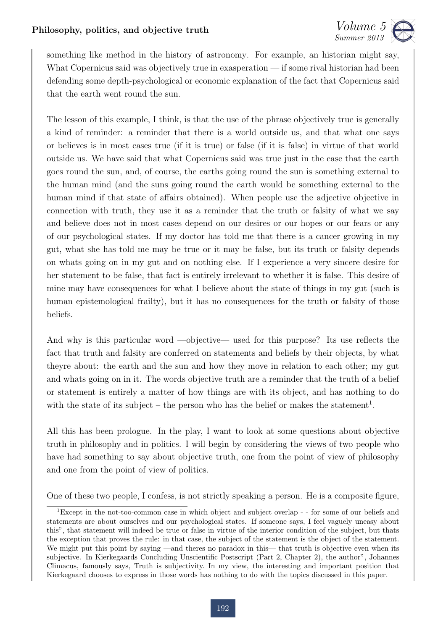

something like method in the history of astronomy. For example, an historian might say, What Copernicus said was objectively true in exasperation — if some rival historian had been defending some depth-psychological or economic explanation of the fact that Copernicus said that the earth went round the sun.

The lesson of this example, I think, is that the use of the phrase objectively true is generally a kind of reminder: a reminder that there is a world outside us, and that what one says or believes is in most cases true (if it is true) or false (if it is false) in virtue of that world outside us. We have said that what Copernicus said was true just in the case that the earth goes round the sun, and, of course, the earths going round the sun is something external to the human mind (and the suns going round the earth would be something external to the human mind if that state of affairs obtained). When people use the adjective objective in connection with truth, they use it as a reminder that the truth or falsity of what we say and believe does not in most cases depend on our desires or our hopes or our fears or any of our psychological states. If my doctor has told me that there is a cancer growing in my gut, what she has told me may be true or it may be false, but its truth or falsity depends on whats going on in my gut and on nothing else. If I experience a very sincere desire for her statement to be false, that fact is entirely irrelevant to whether it is false. This desire of mine may have consequences for what I believe about the state of things in my gut (such is human epistemological frailty), but it has no consequences for the truth or falsity of those beliefs.

And why is this particular word —objective— used for this purpose? Its use reflects the fact that truth and falsity are conferred on statements and beliefs by their objects, by what theyre about: the earth and the sun and how they move in relation to each other; my gut and whats going on in it. The words objective truth are a reminder that the truth of a belief or statement is entirely a matter of how things are with its object, and has nothing to do with the state of its subject – the person who has the belief or makes the statement<sup>1</sup>.

All this has been prologue. In the play, I want to look at some questions about objective truth in philosophy and in politics. I will begin by considering the views of two people who have had something to say about objective truth, one from the point of view of philosophy and one from the point of view of politics.

One of these two people, I confess, is not strictly speaking a person. He is a composite figure,

<sup>1</sup>Except in the not-too-common case in which object and subject overlap - - for some of our beliefs and statements are about ourselves and our psychological states. If someone says, I feel vaguely uneasy about this", that statement will indeed be true or false in virtue of the interior condition of the subject, but thats the exception that proves the rule: in that case, the subject of the statement is the object of the statement. We might put this point by saying —and theres no paradox in this— that truth is objective even when its subjective. In Kierkegaards Concluding Unscientific Postscript (Part 2, Chapter 2), the author", Johannes Climacus, famously says, Truth is subjectivity. In my view, the interesting and important position that Kierkegaard chooses to express in those words has nothing to do with the topics discussed in this paper.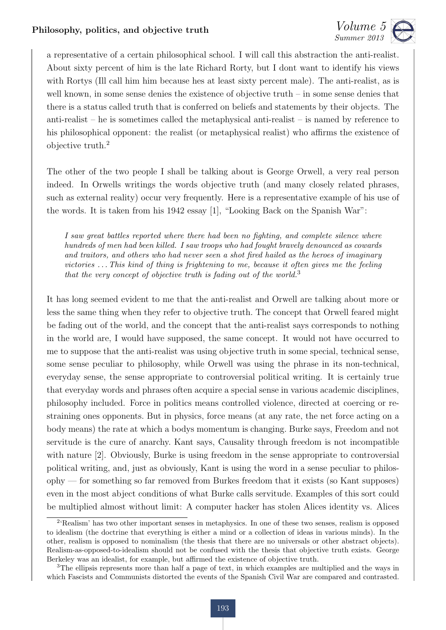

a representative of a certain philosophical school. I will call this abstraction the anti-realist. About sixty percent of him is the late Richard Rorty, but I dont want to identify his views with Rortys (Ill call him him because hes at least sixty percent male). The anti-realist, as is well known, in some sense denies the existence of objective truth – in some sense denies that there is a status called truth that is conferred on beliefs and statements by their objects. The anti-realist – he is sometimes called the metaphysical anti-realist – is named by reference to his philosophical opponent: the realist (or metaphysical realist) who affirms the existence of objective truth.<sup>2</sup>

The other of the two people I shall be talking about is George Orwell, a very real person indeed. In Orwells writings the words objective truth (and many closely related phrases, such as external reality) occur very frequently. Here is a representative example of his use of the words. It is taken from his 1942 essay [1], "Looking Back on the Spanish War":

*I saw great battles reported where there had been no fighting, and complete silence where hundreds of men had been killed. I saw troops who had fought bravely denounced as cowards and traitors, and others who had never seen a shot fired hailed as the heroes of imaginary victories . . . This kind of thing is frightening to me, because it often gives me the feeling that the very concept of objective truth is fading out of the world.*<sup>3</sup>

It has long seemed evident to me that the anti-realist and Orwell are talking about more or less the same thing when they refer to objective truth. The concept that Orwell feared might be fading out of the world, and the concept that the anti-realist says corresponds to nothing in the world are, I would have supposed, the same concept. It would not have occurred to me to suppose that the anti-realist was using objective truth in some special, technical sense, some sense peculiar to philosophy, while Orwell was using the phrase in its non-technical, everyday sense, the sense appropriate to controversial political writing. It is certainly true that everyday words and phrases often acquire a special sense in various academic disciplines, philosophy included. Force in politics means controlled violence, directed at coercing or restraining ones opponents. But in physics, force means (at any rate, the net force acting on a body means) the rate at which a bodys momentum is changing. Burke says, Freedom and not servitude is the cure of anarchy. Kant says, Causality through freedom is not incompatible with nature [2]. Obviously, Burke is using freedom in the sense appropriate to controversial political writing, and, just as obviously, Kant is using the word in a sense peculiar to philosophy — for something so far removed from Burkes freedom that it exists (so Kant supposes) even in the most abject conditions of what Burke calls servitude. Examples of this sort could be multiplied almost without limit: A computer hacker has stolen Alices identity vs. Alices

<sup>2</sup>'Realism' has two other important senses in metaphysics. In one of these two senses, realism is opposed to idealism (the doctrine that everything is either a mind or a collection of ideas in various minds). In the other, realism is opposed to nominalism (the thesis that there are no universals or other abstract objects). Realism-as-opposed-to-idealism should not be confused with the thesis that objective truth exists. George Berkeley was an idealist, for example, but affirmed the existence of objective truth.

<sup>3</sup>The ellipsis represents more than half a page of text, in which examples are multiplied and the ways in which Fascists and Communists distorted the events of the Spanish Civil War are compared and contrasted.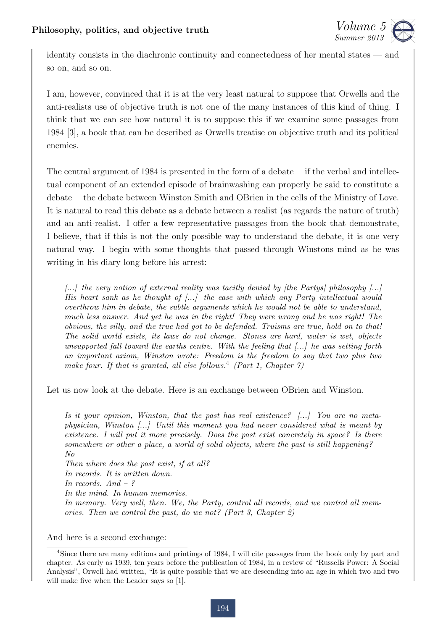

identity consists in the diachronic continuity and connectedness of her mental states — and so on, and so on.

I am, however, convinced that it is at the very least natural to suppose that Orwells and the anti-realists use of objective truth is not one of the many instances of this kind of thing. I think that we can see how natural it is to suppose this if we examine some passages from 1984 [3], a book that can be described as Orwells treatise on objective truth and its political enemies.

The central argument of 1984 is presented in the form of a debate —if the verbal and intellectual component of an extended episode of brainwashing can properly be said to constitute a debate— the debate between Winston Smith and OBrien in the cells of the Ministry of Love. It is natural to read this debate as a debate between a realist (as regards the nature of truth) and an anti-realist. I offer a few representative passages from the book that demonstrate, I believe, that if this is not the only possible way to understand the debate, it is one very natural way. I begin with some thoughts that passed through Winstons mind as he was writing in his diary long before his arrest:

*[...] the very notion of external reality was tacitly denied by [the Partys] philosophy [...] His heart sank as he thought of [...] the ease with which any Party intellectual would overthrow him in debate, the subtle arguments which he would not be able to understand, much less answer. And yet he was in the right! They were wrong and he was right! The obvious, the silly, and the true had got to be defended. Truisms are true, hold on to that! The solid world exists, its laws do not change. Stones are hard, water is wet, objects unsupported fall toward the earths centre. With the feeling that [...] he was setting forth an important axiom, Winston wrote: Freedom is the freedom to say that two plus two make four. If that is granted, all else follows.*<sup>4</sup> *(Part 1, Chapter 7)*

Let us now look at the debate. Here is an exchange between OBrien and Winston.

*Is it your opinion, Winston, that the past has real existence? [...] You are no metaphysician, Winston [...] Until this moment you had never considered what is meant by existence. I will put it more precisely. Does the past exist concretely in space? Is there somewhere or other a place, a world of solid objects, where the past is still happening? No Then where does the past exist, if at all? In records. It is written down. In records. And – ? In the mind. In human memories.*

*In memory. Very well, then. We, the Party, control all records, and we control all memories. Then we control the past, do we not? (Part 3, Chapter 2)*

And here is a second exchange:

<sup>&</sup>lt;sup>4</sup>Since there are many editions and printings of 1984. I will cite passages from the book only by part and chapter. As early as 1939, ten years before the publication of 1984, in a review of "Russells Power: A Social Analysis", Orwell had written, "It is quite possible that we are descending into an age in which two and two will make five when the Leader says so [1].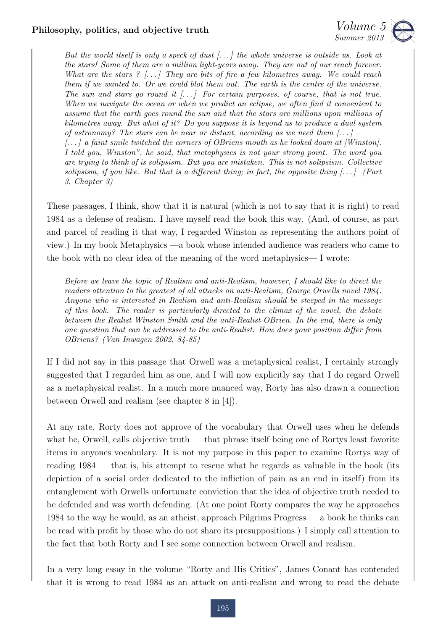

*But the world itself is only a speck of dust [. . . ] the whole universe is outside us. Look at the stars! Some of them are a million light-years away. They are out of our reach forever. What are the stars ? [. . . ] They are bits of fire a few kilometres away. We could reach them if we wanted to. Or we could blot them out. The earth is the centre of the universe.* The sun and stars go round it  $[\ldots]$  For certain purposes, of course, that is not true. *When we navigate the ocean or when we predict an eclipse, we often find it convenient to assume that the earth goes round the sun and that the stars are millions upon millions of kilometres away. But what of it? Do you suppose it is beyond us to produce a dual system of astronomy? The stars can be near or distant, according as we need them [. . . ]*

*[. . . ] a faint smile twitched the corners of OBriens mouth as he looked down at [Winston]. I told you, Winston", he said, that metaphysics is not your strong point. The word you are trying to think of is solipsism. But you are mistaken. This is not solipsism. Collective* solipsism, if you like. But that is a different thing; in fact, the opposite thing  $[\ldots]$  (Part *3, Chapter 3)*

These passages, I think, show that it is natural (which is not to say that it is right) to read 1984 as a defense of realism. I have myself read the book this way. (And, of course, as part and parcel of reading it that way, I regarded Winston as representing the authors point of view.) In my book Metaphysics —a book whose intended audience was readers who came to the book with no clear idea of the meaning of the word metaphysics— I wrote:

*Before we leave the topic of Realism and anti-Realism, however, I should like to direct the readers attention to the greatest of all attacks on anti-Realism, George Orwells novel 1984. Anyone who is interested in Realism and anti-Realism should be steeped in the message of this book. The reader is particularly directed to the climax of the novel, the debate between the Realist Winston Smith and the anti-Realist OBrien. In the end, there is only one question that can be addressed to the anti-Realist: How does your position differ from OBriens? (Van Inwagen 2002, 84-85)*

If I did not say in this passage that Orwell was a metaphysical realist, I certainly strongly suggested that I regarded him as one, and I will now explicitly say that I do regard Orwell as a metaphysical realist. In a much more nuanced way, Rorty has also drawn a connection between Orwell and realism (see chapter 8 in [4]).

At any rate, Rorty does not approve of the vocabulary that Orwell uses when he defends what he, Orwell, calls objective truth — that phrase itself being one of Rortys least favorite items in anyones vocabulary. It is not my purpose in this paper to examine Rortys way of reading 1984 — that is, his attempt to rescue what he regards as valuable in the book (its depiction of a social order dedicated to the infliction of pain as an end in itself) from its entanglement with Orwells unfortunate conviction that the idea of objective truth needed to be defended and was worth defending. (At one point Rorty compares the way he approaches 1984 to the way he would, as an atheist, approach Pilgrims Progress — a book he thinks can be read with profit by those who do not share its presuppositions.) I simply call attention to the fact that both Rorty and I see some connection between Orwell and realism.

In a very long essay in the volume "Rorty and His Critics", James Conant has contended that it is wrong to read 1984 as an attack on anti-realism and wrong to read the debate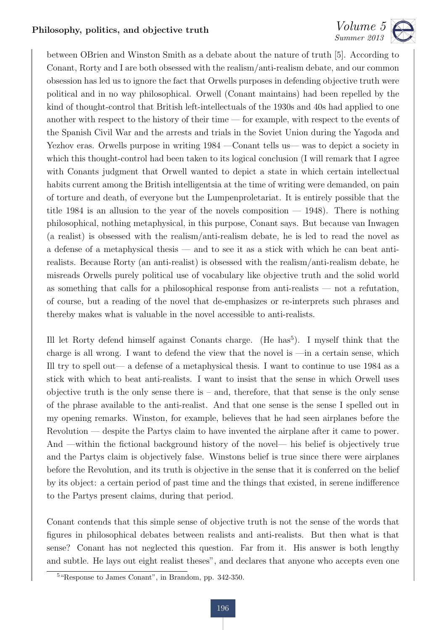between OBrien and Winston Smith as a debate about the nature of truth [5]. According to Conant, Rorty and I are both obsessed with the realism/anti-realism debate, and our common obsession has led us to ignore the fact that Orwells purposes in defending objective truth were political and in no way philosophical. Orwell (Conant maintains) had been repelled by the kind of thought-control that British left-intellectuals of the 1930s and 40s had applied to one another with respect to the history of their time — for example, with respect to the events of the Spanish Civil War and the arrests and trials in the Soviet Union during the Yagoda and Yezhov eras. Orwells purpose in writing 1984 —Conant tells us— was to depict a society in which this thought-control had been taken to its logical conclusion (I will remark that I agree with Conants judgment that Orwell wanted to depict a state in which certain intellectual habits current among the British intelligentsia at the time of writing were demanded, on pain of torture and death, of everyone but the Lumpenproletariat. It is entirely possible that the title 1984 is an allusion to the year of the novels composition  $-$  1948). There is nothing philosophical, nothing metaphysical, in this purpose, Conant says. But because van Inwagen (a realist) is obsessed with the realism/anti-realism debate, he is led to read the novel as a defense of a metaphysical thesis — and to see it as a stick with which he can beat antirealists. Because Rorty (an anti-realist) is obsessed with the realism/anti-realism debate, he misreads Orwells purely political use of vocabulary like objective truth and the solid world as something that calls for a philosophical response from anti-realists — not a refutation, of course, but a reading of the novel that de-emphasizes or re-interprets such phrases and thereby makes what is valuable in the novel accessible to anti-realists.

Ill let Rorty defend himself against Conants charge. (He has<sup>5</sup>). I myself think that the charge is all wrong. I want to defend the view that the novel is —in a certain sense, which Ill try to spell out— a defense of a metaphysical thesis. I want to continue to use 1984 as a stick with which to beat anti-realists. I want to insist that the sense in which Orwell uses objective truth is the only sense there is  $-$  and, therefore, that that sense is the only sense of the phrase available to the anti-realist. And that one sense is the sense I spelled out in my opening remarks. Winston, for example, believes that he had seen airplanes before the Revolution — despite the Partys claim to have invented the airplane after it came to power. And —within the fictional background history of the novel— his belief is objectively true and the Partys claim is objectively false. Winstons belief is true since there were airplanes before the Revolution, and its truth is objective in the sense that it is conferred on the belief by its object: a certain period of past time and the things that existed, in serene indifference to the Partys present claims, during that period.

Conant contends that this simple sense of objective truth is not the sense of the words that figures in philosophical debates between realists and anti-realists. But then what is that sense? Conant has not neglected this question. Far from it. His answer is both lengthy and subtle. He lays out eight realist theses", and declares that anyone who accepts even one

<sup>5</sup>"Response to James Conant", in Brandom, pp. 342-350.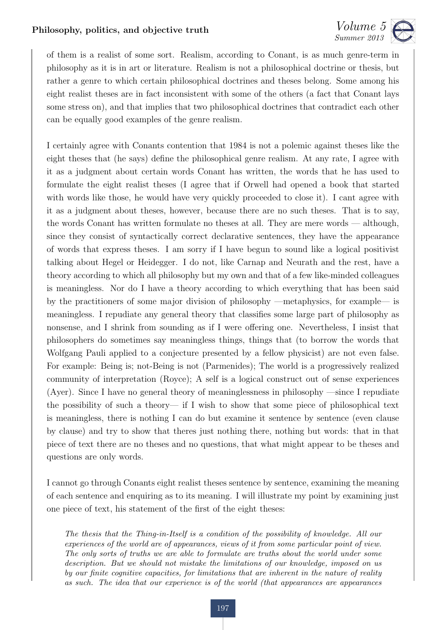

of them is a realist of some sort. Realism, according to Conant, is as much genre-term in philosophy as it is in art or literature. Realism is not a philosophical doctrine or thesis, but rather a genre to which certain philosophical doctrines and theses belong. Some among his eight realist theses are in fact inconsistent with some of the others (a fact that Conant lays some stress on), and that implies that two philosophical doctrines that contradict each other can be equally good examples of the genre realism.

I certainly agree with Conants contention that 1984 is not a polemic against theses like the eight theses that (he says) define the philosophical genre realism. At any rate, I agree with it as a judgment about certain words Conant has written, the words that he has used to formulate the eight realist theses (I agree that if Orwell had opened a book that started with words like those, he would have very quickly proceeded to close it). I cant agree with it as a judgment about theses, however, because there are no such theses. That is to say, the words Conant has written formulate no theses at all. They are mere words — although, since they consist of syntactically correct declarative sentences, they have the appearance of words that express theses. I am sorry if I have begun to sound like a logical positivist talking about Hegel or Heidegger. I do not, like Carnap and Neurath and the rest, have a theory according to which all philosophy but my own and that of a few like-minded colleagues is meaningless. Nor do I have a theory according to which everything that has been said by the practitioners of some major division of philosophy —metaphysics, for example— is meaningless. I repudiate any general theory that classifies some large part of philosophy as nonsense, and I shrink from sounding as if I were offering one. Nevertheless, I insist that philosophers do sometimes say meaningless things, things that (to borrow the words that Wolfgang Pauli applied to a conjecture presented by a fellow physicist) are not even false. For example: Being is; not-Being is not (Parmenides); The world is a progressively realized community of interpretation (Royce); A self is a logical construct out of sense experiences (Ayer). Since I have no general theory of meaninglessness in philosophy —since I repudiate the possibility of such a theory— if I wish to show that some piece of philosophical text is meaningless, there is nothing I can do but examine it sentence by sentence (even clause by clause) and try to show that theres just nothing there, nothing but words: that in that piece of text there are no theses and no questions, that what might appear to be theses and questions are only words.

I cannot go through Conants eight realist theses sentence by sentence, examining the meaning of each sentence and enquiring as to its meaning. I will illustrate my point by examining just one piece of text, his statement of the first of the eight theses:

*The thesis that the Thing-in-Itself is a condition of the possibility of knowledge. All our experiences of the world are of appearances, views of it from some particular point of view. The only sorts of truths we are able to formulate are truths about the world under some description. But we should not mistake the limitations of our knowledge, imposed on us by our finite cognitive capacities, for limitations that are inherent in the nature of reality as such. The idea that our experience is of the world (that appearances are appearances*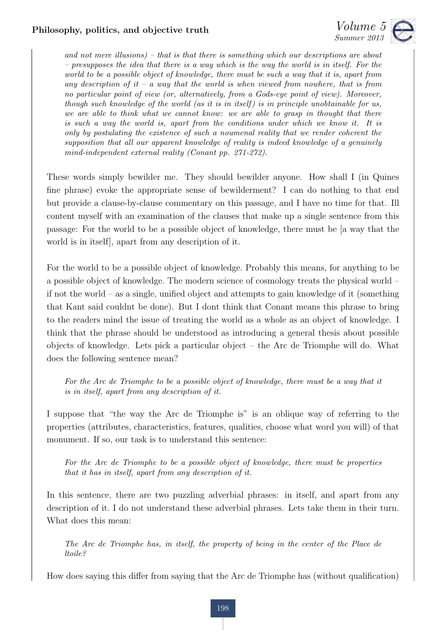

*and not mere illusions) – that is that there is something which our descriptions are about – presupposes the idea that there is a way which is the way the world is in itself. For the world to be a possible object of knowledge, there must be such a way that it is, apart from any description of it – a way that the world is when viewed from nowhere, that is from no particular point of view (or, alternatively, from a Gods-eye point of view). Moreover, though such knowledge of the world (as it is in itself ) is in principle unobtainable for us, we are able to think what we cannot know: we are able to grasp in thought that there is such a way the world is, apart from the conditions under which we know it. It is only by postulating the existence of such a noumenal reality that we render coherent the supposition that all our apparent knowledge of reality is indeed knowledge of a genuinely mind-independent external reality (Conant pp. 271-272).*

These words simply bewilder me. They should bewilder anyone. How shall I (in Quines fine phrase) evoke the appropriate sense of bewilderment? I can do nothing to that end but provide a clause-by-clause commentary on this passage, and I have no time for that. Ill content myself with an examination of the clauses that make up a single sentence from this passage: For the world to be a possible object of knowledge, there must be [a way that the world is in itself], apart from any description of it.

For the world to be a possible object of knowledge. Probably this means, for anything to be a possible object of knowledge. The modern science of cosmology treats the physical world – if not the world – as a single, unified object and attempts to gain knowledge of it (something that Kant said couldnt be done). But I dont think that Conant means this phrase to bring to the readers mind the issue of treating the world as a whole as an object of knowledge. I think that the phrase should be understood as introducing a general thesis about possible objects of knowledge. Lets pick a particular object – the Arc de Triomphe will do. What does the following sentence mean?

*For the Arc de Triomphe to be a possible object of knowledge, there must be a way that it is in itself, apart from any description of it.*

I suppose that "the way the Arc de Triomphe is" is an oblique way of referring to the properties (attributes, characteristics, features, qualities, choose what word you will) of that monument. If so, our task is to understand this sentence:

*For the Arc de Triomphe to be a possible object of knowledge, there must be properties that it has in itself, apart from any description of it.*

In this sentence, there are two puzzling adverbial phrases: in itself, and apart from any description of it. I do not understand these adverbial phrases. Lets take them in their turn. What does this mean:

*The Arc de Triomphe has, in itself, the property of being in the center of the Place de ltoile?*

How does saying this differ from saying that the Arc de Triomphe has (without qualification)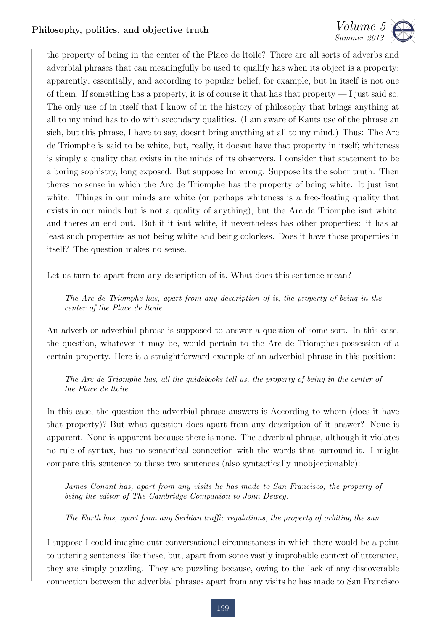

the property of being in the center of the Place de ltoile? There are all sorts of adverbs and adverbial phrases that can meaningfully be used to qualify has when its object is a property: apparently, essentially, and according to popular belief, for example, but in itself is not one of them. If something has a property, it is of course it that has that property  $-1$  just said so. The only use of in itself that I know of in the history of philosophy that brings anything at all to my mind has to do with secondary qualities. (I am aware of Kants use of the phrase an sich, but this phrase, I have to say, doesnt bring anything at all to my mind.) Thus: The Arc de Triomphe is said to be white, but, really, it doesnt have that property in itself; whiteness is simply a quality that exists in the minds of its observers. I consider that statement to be a boring sophistry, long exposed. But suppose Im wrong. Suppose its the sober truth. Then theres no sense in which the Arc de Triomphe has the property of being white. It just isnt white. Things in our minds are white (or perhaps whiteness is a free-floating quality that exists in our minds but is not a quality of anything), but the Arc de Triomphe isnt white, and theres an end ont. But if it isnt white, it nevertheless has other properties: it has at least such properties as not being white and being colorless. Does it have those properties in itself? The question makes no sense.

Let us turn to apart from any description of it. What does this sentence mean?

*The Arc de Triomphe has, apart from any description of it, the property of being in the center of the Place de ltoile.*

An adverb or adverbial phrase is supposed to answer a question of some sort. In this case, the question, whatever it may be, would pertain to the Arc de Triomphes possession of a certain property. Here is a straightforward example of an adverbial phrase in this position:

*The Arc de Triomphe has, all the guidebooks tell us, the property of being in the center of the Place de ltoile.*

In this case, the question the adverbial phrase answers is According to whom (does it have that property)? But what question does apart from any description of it answer? None is apparent. None is apparent because there is none. The adverbial phrase, although it violates no rule of syntax, has no semantical connection with the words that surround it. I might compare this sentence to these two sentences (also syntactically unobjectionable):

*James Conant has, apart from any visits he has made to San Francisco, the property of being the editor of The Cambridge Companion to John Dewey.*

The Earth has, apart from any Serbian traffic regulations, the property of orbiting the sun.

I suppose I could imagine outr conversational circumstances in which there would be a point to uttering sentences like these, but, apart from some vastly improbable context of utterance, they are simply puzzling. They are puzzling because, owing to the lack of any discoverable connection between the adverbial phrases apart from any visits he has made to San Francisco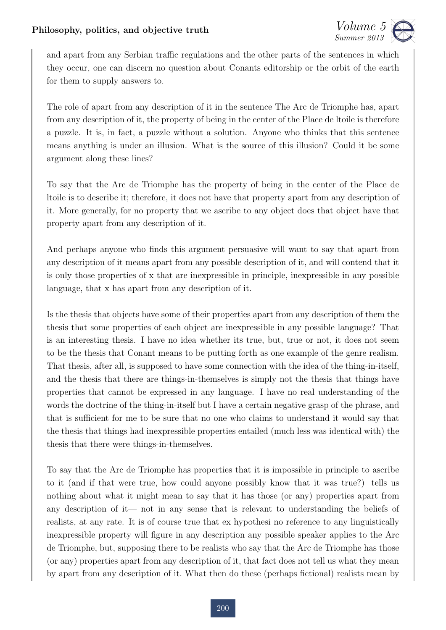

and apart from any Serbian traffic regulations and the other parts of the sentences in which they occur, one can discern no question about Conants editorship or the orbit of the earth for them to supply answers to.

The role of apart from any description of it in the sentence The Arc de Triomphe has, apart from any description of it, the property of being in the center of the Place de ltoile is therefore a puzzle. It is, in fact, a puzzle without a solution. Anyone who thinks that this sentence means anything is under an illusion. What is the source of this illusion? Could it be some argument along these lines?

To say that the Arc de Triomphe has the property of being in the center of the Place de ltoile is to describe it; therefore, it does not have that property apart from any description of it. More generally, for no property that we ascribe to any object does that object have that property apart from any description of it.

And perhaps anyone who finds this argument persuasive will want to say that apart from any description of it means apart from any possible description of it, and will contend that it is only those properties of x that are inexpressible in principle, inexpressible in any possible language, that x has apart from any description of it.

Is the thesis that objects have some of their properties apart from any description of them the thesis that some properties of each object are inexpressible in any possible language? That is an interesting thesis. I have no idea whether its true, but, true or not, it does not seem to be the thesis that Conant means to be putting forth as one example of the genre realism. That thesis, after all, is supposed to have some connection with the idea of the thing-in-itself, and the thesis that there are things-in-themselves is simply not the thesis that things have properties that cannot be expressed in any language. I have no real understanding of the words the doctrine of the thing-in-itself but I have a certain negative grasp of the phrase, and that is sufficient for me to be sure that no one who claims to understand it would say that the thesis that things had inexpressible properties entailed (much less was identical with) the thesis that there were things-in-themselves.

To say that the Arc de Triomphe has properties that it is impossible in principle to ascribe to it (and if that were true, how could anyone possibly know that it was true?) tells us nothing about what it might mean to say that it has those (or any) properties apart from any description of it— not in any sense that is relevant to understanding the beliefs of realists, at any rate. It is of course true that ex hypothesi no reference to any linguistically inexpressible property will figure in any description any possible speaker applies to the Arc de Triomphe, but, supposing there to be realists who say that the Arc de Triomphe has those (or any) properties apart from any description of it, that fact does not tell us what they mean by apart from any description of it. What then do these (perhaps fictional) realists mean by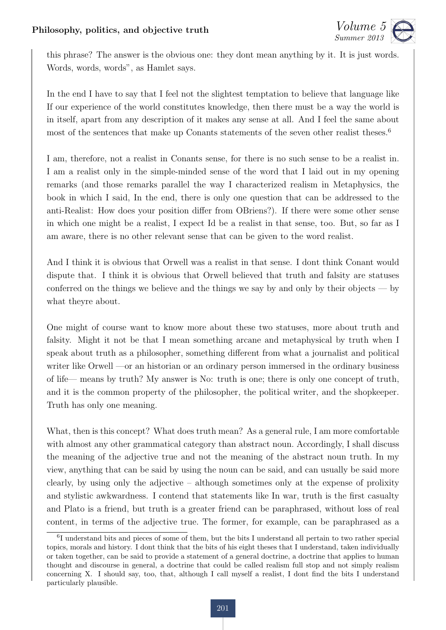

this phrase? The answer is the obvious one: they dont mean anything by it. It is just words. Words, words, words", as Hamlet says.

In the end I have to say that I feel not the slightest temptation to believe that language like If our experience of the world constitutes knowledge, then there must be a way the world is in itself, apart from any description of it makes any sense at all. And I feel the same about most of the sentences that make up Conants statements of the seven other realist theses.<sup>6</sup>

I am, therefore, not a realist in Conants sense, for there is no such sense to be a realist in. I am a realist only in the simple-minded sense of the word that I laid out in my opening remarks (and those remarks parallel the way I characterized realism in Metaphysics, the book in which I said, In the end, there is only one question that can be addressed to the anti-Realist: How does your position differ from OBriens?). If there were some other sense in which one might be a realist, I expect Id be a realist in that sense, too. But, so far as I am aware, there is no other relevant sense that can be given to the word realist.

And I think it is obvious that Orwell was a realist in that sense. I dont think Conant would dispute that. I think it is obvious that Orwell believed that truth and falsity are statuses conferred on the things we believe and the things we say by and only by their objects — by what theyre about.

One might of course want to know more about these two statuses, more about truth and falsity. Might it not be that I mean something arcane and metaphysical by truth when I speak about truth as a philosopher, something different from what a journalist and political writer like Orwell —or an historian or an ordinary person immersed in the ordinary business of life— means by truth? My answer is No: truth is one; there is only one concept of truth, and it is the common property of the philosopher, the political writer, and the shopkeeper. Truth has only one meaning.

What, then is this concept? What does truth mean? As a general rule, I am more comfortable with almost any other grammatical category than abstract noun. Accordingly, I shall discuss the meaning of the adjective true and not the meaning of the abstract noun truth. In my view, anything that can be said by using the noun can be said, and can usually be said more clearly, by using only the adjective – although sometimes only at the expense of prolixity and stylistic awkwardness. I contend that statements like In war, truth is the first casualty and Plato is a friend, but truth is a greater friend can be paraphrased, without loss of real content, in terms of the adjective true. The former, for example, can be paraphrased as a

<sup>6</sup>I understand bits and pieces of some of them, but the bits I understand all pertain to two rather special topics, morals and history. I dont think that the bits of his eight theses that I understand, taken individually or taken together, can be said to provide a statement of a general doctrine, a doctrine that applies to human thought and discourse in general, a doctrine that could be called realism full stop and not simply realism concerning X. I should say, too, that, although I call myself a realist, I dont find the bits I understand particularly plausible.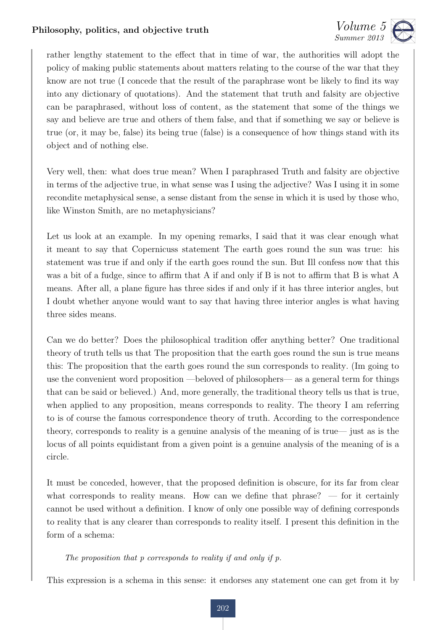

rather lengthy statement to the effect that in time of war, the authorities will adopt the policy of making public statements about matters relating to the course of the war that they know are not true (I concede that the result of the paraphrase wont be likely to find its way into any dictionary of quotations). And the statement that truth and falsity are objective can be paraphrased, without loss of content, as the statement that some of the things we say and believe are true and others of them false, and that if something we say or believe is true (or, it may be, false) its being true (false) is a consequence of how things stand with its object and of nothing else.

Very well, then: what does true mean? When I paraphrased Truth and falsity are objective in terms of the adjective true, in what sense was I using the adjective? Was I using it in some recondite metaphysical sense, a sense distant from the sense in which it is used by those who, like Winston Smith, are no metaphysicians?

Let us look at an example. In my opening remarks, I said that it was clear enough what it meant to say that Copernicuss statement The earth goes round the sun was true: his statement was true if and only if the earth goes round the sun. But Ill confess now that this was a bit of a fudge, since to affirm that A if and only if B is not to affirm that B is what A means. After all, a plane figure has three sides if and only if it has three interior angles, but I doubt whether anyone would want to say that having three interior angles is what having three sides means.

Can we do better? Does the philosophical tradition offer anything better? One traditional theory of truth tells us that The proposition that the earth goes round the sun is true means this: The proposition that the earth goes round the sun corresponds to reality. (Im going to use the convenient word proposition —beloved of philosophers— as a general term for things that can be said or believed.) And, more generally, the traditional theory tells us that is true, when applied to any proposition, means corresponds to reality. The theory I am referring to is of course the famous correspondence theory of truth. According to the correspondence theory, corresponds to reality is a genuine analysis of the meaning of is true— just as is the locus of all points equidistant from a given point is a genuine analysis of the meaning of is a circle.

It must be conceded, however, that the proposed definition is obscure, for its far from clear what corresponds to reality means. How can we define that  $phrase?$  — for it certainly cannot be used without a definition. I know of only one possible way of defining corresponds to reality that is any clearer than corresponds to reality itself. I present this definition in the form of a schema:

#### *The proposition that p corresponds to reality if and only if p.*

This expression is a schema in this sense: it endorses any statement one can get from it by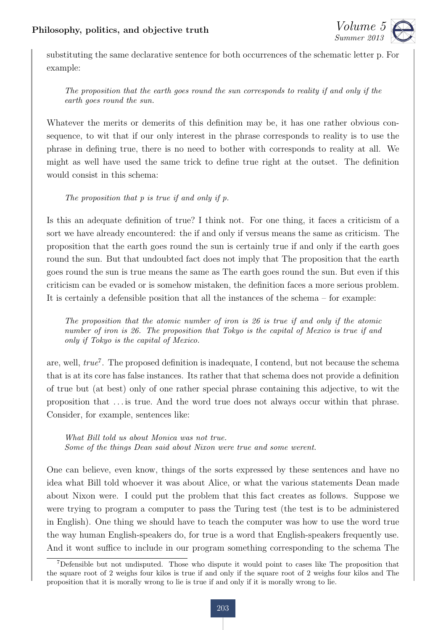

substituting the same declarative sentence for both occurrences of the schematic letter p. For example:

*The proposition that the earth goes round the sun corresponds to reality if and only if the earth goes round the sun.*

Whatever the merits or demerits of this definition may be, it has one rather obvious consequence, to wit that if our only interest in the phrase corresponds to reality is to use the phrase in defining true, there is no need to bother with corresponds to reality at all. We might as well have used the same trick to define true right at the outset. The definition would consist in this schema:

*The proposition that p is true if and only if p.*

Is this an adequate definition of true? I think not. For one thing, it faces a criticism of a sort we have already encountered: the if and only if versus means the same as criticism. The proposition that the earth goes round the sun is certainly true if and only if the earth goes round the sun. But that undoubted fact does not imply that The proposition that the earth goes round the sun is true means the same as The earth goes round the sun. But even if this criticism can be evaded or is somehow mistaken, the definition faces a more serious problem. It is certainly a defensible position that all the instances of the schema – for example:

*The proposition that the atomic number of iron is 26 is true if and only if the atomic number of iron is 26. The proposition that Tokyo is the capital of Mexico is true if and only if Tokyo is the capital of Mexico.*

are, well, *true*<sup>7</sup>. The proposed definition is inadequate, I contend, but not because the schema that is at its core has false instances. Its rather that that schema does not provide a definition of true but (at best) only of one rather special phrase containing this adjective, to wit the proposition that . . . is true. And the word true does not always occur within that phrase. Consider, for example, sentences like:

*What Bill told us about Monica was not true. Some of the things Dean said about Nixon were true and some werent.*

One can believe, even know, things of the sorts expressed by these sentences and have no idea what Bill told whoever it was about Alice, or what the various statements Dean made about Nixon were. I could put the problem that this fact creates as follows. Suppose we were trying to program a computer to pass the Turing test (the test is to be administered in English). One thing we should have to teach the computer was how to use the word true the way human English-speakers do, for true is a word that English-speakers frequently use. And it wont suffice to include in our program something corresponding to the schema The

<sup>7</sup>Defensible but not undisputed. Those who dispute it would point to cases like The proposition that the square root of 2 weighs four kilos is true if and only if the square root of 2 weighs four kilos and The proposition that it is morally wrong to lie is true if and only if it is morally wrong to lie.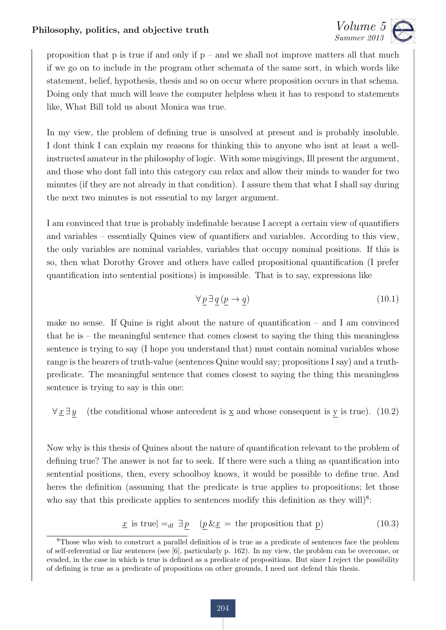

proposition that p is true if and only if  $p -$  and we shall not improve matters all that much if we go on to include in the program other schemata of the same sort, in which words like statement, belief, hypothesis, thesis and so on occur where proposition occurs in that schema. Doing only that much will leave the computer helpless when it has to respond to statements like, What Bill told us about Monica was true.

In my view, the problem of defining true is unsolved at present and is probably insoluble. I dont think I can explain my reasons for thinking this to anyone who isnt at least a wellinstructed amateur in the philosophy of logic. With some misgivings, Ill present the argument, and those who dont fall into this category can relax and allow their minds to wander for two minutes (if they are not already in that condition). I assure them that what I shall say during the next two minutes is not essential to my larger argument.

I am convinced that true is probably indefinable because I accept a certain view of quantifiers and variables – essentially Quines view of quantifiers and variables. According to this view, the only variables are nominal variables, variables that occupy nominal positions. If this is so, then what Dorothy Grover and others have called propositional quantification (I prefer quantification into sentential positions) is impossible. That is to say, expressions like

$$
\forall \underline{p} \exists \underline{q} \left( \underline{p} \rightarrow \underline{q} \right) \tag{10.1}
$$

make no sense. If Quine is right about the nature of quantification – and I am convinced that he is – the meaningful sentence that comes closest to saying the thing this meaningless sentence is trying to say (I hope you understand that) must contain nominal variables whose range is the bearers of truth-value (sentences Quine would say; propositions I say) and a truthpredicate. The meaningful sentence that comes closest to saying the thing this meaningless sentence is trying to say is this one:

 $\forall \underline{x} \exists y$  (the conditional whose antecedent is <u>x</u> and whose consequent is y is true). (10.2)

Now why is this thesis of Quines about the nature of quantification relevant to the problem of defining true? The answer is not far to seek. If there were such a thing as quantification into sentential positions, then, every schoolboy knows, it would be possible to define true. And heres the definition (assuming that the predicate is true applies to propositions; let those who say that this predicate applies to sentences modify this definition as they will)<sup>8</sup>:

$$
\underline{x} \text{ is true} \vert =_{\text{df}} \exists \underline{p} \quad (\underline{p} \& \underline{x} = \text{the proposition that } \underline{p}) \tag{10.3}
$$

<sup>8</sup>Those who wish to construct a parallel definition of is true as a predicate of sentences face the problem of self-referential or liar sentences (see [6], particularly p. 162). In my view, the problem can be overcome, or evaded, in the case in which is true is defined as a predicate of propositions. But since I reject the possibility of defining is true as a predicate of propositions on other grounds, I need not defend this thesis.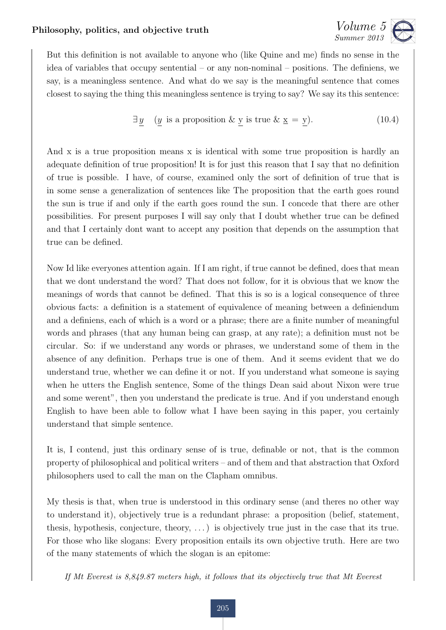

But this definition is not available to anyone who (like Quine and me) finds no sense in the idea of variables that occupy sentential – or any non-nominal – positions. The definiens, we say, is a meaningless sentence. And what do we say is the meaningful sentence that comes closest to saying the thing this meaningless sentence is trying to say? We say its this sentence:

$$
\exists \underline{y} \quad (\underline{y} \text{ is a proposition } \& \underline{y} \text{ is true } \& \underline{x} = \underline{y}). \tag{10.4}
$$

And x is a true proposition means x is identical with some true proposition is hardly an adequate definition of true proposition! It is for just this reason that I say that no definition of true is possible. I have, of course, examined only the sort of definition of true that is in some sense a generalization of sentences like The proposition that the earth goes round the sun is true if and only if the earth goes round the sun. I concede that there are other possibilities. For present purposes I will say only that I doubt whether true can be defined and that I certainly dont want to accept any position that depends on the assumption that true can be defined.

Now Id like everyones attention again. If I am right, if true cannot be defined, does that mean that we dont understand the word? That does not follow, for it is obvious that we know the meanings of words that cannot be defined. That this is so is a logical consequence of three obvious facts: a definition is a statement of equivalence of meaning between a definiendum and a definiens, each of which is a word or a phrase; there are a finite number of meaningful words and phrases (that any human being can grasp, at any rate); a definition must not be circular. So: if we understand any words or phrases, we understand some of them in the absence of any definition. Perhaps true is one of them. And it seems evident that we do understand true, whether we can define it or not. If you understand what someone is saying when he utters the English sentence, Some of the things Dean said about Nixon were true and some werent", then you understand the predicate is true. And if you understand enough English to have been able to follow what I have been saying in this paper, you certainly understand that simple sentence.

It is, I contend, just this ordinary sense of is true, definable or not, that is the common property of philosophical and political writers – and of them and that abstraction that Oxford philosophers used to call the man on the Clapham omnibus.

My thesis is that, when true is understood in this ordinary sense (and theres no other way to understand it), objectively true is a redundant phrase: a proposition (belief, statement, thesis, hypothesis, conjecture, theory, . . . ) is objectively true just in the case that its true. For those who like slogans: Every proposition entails its own objective truth. Here are two of the many statements of which the slogan is an epitome:

*If Mt Everest is 8,849.87 meters high, it follows that its objectively true that Mt Everest*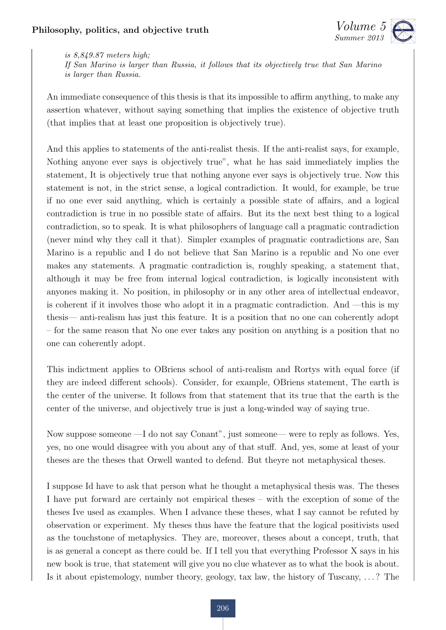

*is 8,849.87 meters high;*

*If San Marino is larger than Russia, it follows that its objectively true that San Marino is larger than Russia.*

An immediate consequence of this thesis is that its impossible to affirm anything, to make any assertion whatever, without saying something that implies the existence of objective truth (that implies that at least one proposition is objectively true).

And this applies to statements of the anti-realist thesis. If the anti-realist says, for example, Nothing anyone ever says is objectively true", what he has said immediately implies the statement, It is objectively true that nothing anyone ever says is objectively true. Now this statement is not, in the strict sense, a logical contradiction. It would, for example, be true if no one ever said anything, which is certainly a possible state of a↵airs, and a logical contradiction is true in no possible state of affairs. But its the next best thing to a logical contradiction, so to speak. It is what philosophers of language call a pragmatic contradiction (never mind why they call it that). Simpler examples of pragmatic contradictions are, San Marino is a republic and I do not believe that San Marino is a republic and No one ever makes any statements. A pragmatic contradiction is, roughly speaking, a statement that, although it may be free from internal logical contradiction, is logically inconsistent with anyones making it. No position, in philosophy or in any other area of intellectual endeavor, is coherent if it involves those who adopt it in a pragmatic contradiction. And —this is my thesis— anti-realism has just this feature. It is a position that no one can coherently adopt – for the same reason that No one ever takes any position on anything is a position that no one can coherently adopt.

This indictment applies to OBriens school of anti-realism and Rortys with equal force (if they are indeed different schools). Consider, for example, OBriens statement, The earth is the center of the universe. It follows from that statement that its true that the earth is the center of the universe, and objectively true is just a long-winded way of saying true.

Now suppose someone —I do not say Conant", just someone— were to reply as follows. Yes, yes, no one would disagree with you about any of that stuff. And, yes, some at least of your theses are the theses that Orwell wanted to defend. But theyre not metaphysical theses.

I suppose Id have to ask that person what he thought a metaphysical thesis was. The theses I have put forward are certainly not empirical theses – with the exception of some of the theses Ive used as examples. When I advance these theses, what I say cannot be refuted by observation or experiment. My theses thus have the feature that the logical positivists used as the touchstone of metaphysics. They are, moreover, theses about a concept, truth, that is as general a concept as there could be. If I tell you that everything Professor X says in his new book is true, that statement will give you no clue whatever as to what the book is about. Is it about epistemology, number theory, geology, tax law, the history of Tuscany, . . . ? The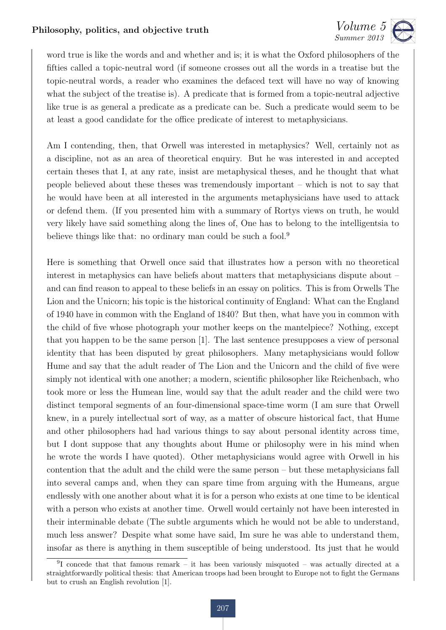

word true is like the words and and whether and is; it is what the Oxford philosophers of the fifties called a topic-neutral word (if someone crosses out all the words in a treatise but the topic-neutral words, a reader who examines the defaced text will have no way of knowing what the subject of the treatise is). A predicate that is formed from a topic-neutral adjective like true is as general a predicate as a predicate can be. Such a predicate would seem to be at least a good candidate for the office predicate of interest to metaphysicians.

Am I contending, then, that Orwell was interested in metaphysics? Well, certainly not as a discipline, not as an area of theoretical enquiry. But he was interested in and accepted certain theses that I, at any rate, insist are metaphysical theses, and he thought that what people believed about these theses was tremendously important – which is not to say that he would have been at all interested in the arguments metaphysicians have used to attack or defend them. (If you presented him with a summary of Rortys views on truth, he would very likely have said something along the lines of, One has to belong to the intelligentsia to believe things like that: no ordinary man could be such a fool.<sup>9</sup>

Here is something that Orwell once said that illustrates how a person with no theoretical interest in metaphysics can have beliefs about matters that metaphysicians dispute about – and can find reason to appeal to these beliefs in an essay on politics. This is from Orwells The Lion and the Unicorn; his topic is the historical continuity of England: What can the England of 1940 have in common with the England of 1840? But then, what have you in common with the child of five whose photograph your mother keeps on the mantelpiece? Nothing, except that you happen to be the same person [1]. The last sentence presupposes a view of personal identity that has been disputed by great philosophers. Many metaphysicians would follow Hume and say that the adult reader of The Lion and the Unicorn and the child of five were simply not identical with one another; a modern, scientific philosopher like Reichenbach, who took more or less the Humean line, would say that the adult reader and the child were two distinct temporal segments of an four-dimensional space-time worm (I am sure that Orwell knew, in a purely intellectual sort of way, as a matter of obscure historical fact, that Hume and other philosophers had had various things to say about personal identity across time, but I dont suppose that any thoughts about Hume or philosophy were in his mind when he wrote the words I have quoted). Other metaphysicians would agree with Orwell in his contention that the adult and the child were the same person – but these metaphysicians fall into several camps and, when they can spare time from arguing with the Humeans, argue endlessly with one another about what it is for a person who exists at one time to be identical with a person who exists at another time. Orwell would certainly not have been interested in their interminable debate (The subtle arguments which he would not be able to understand, much less answer? Despite what some have said, Im sure he was able to understand them, insofar as there is anything in them susceptible of being understood. Its just that he would

<sup>&</sup>lt;sup>9</sup>I concede that that famous remark – it has been variously misquoted – was actually directed at a straightforwardly political thesis: that American troops had been brought to Europe not to fight the Germans but to crush an English revolution [1].